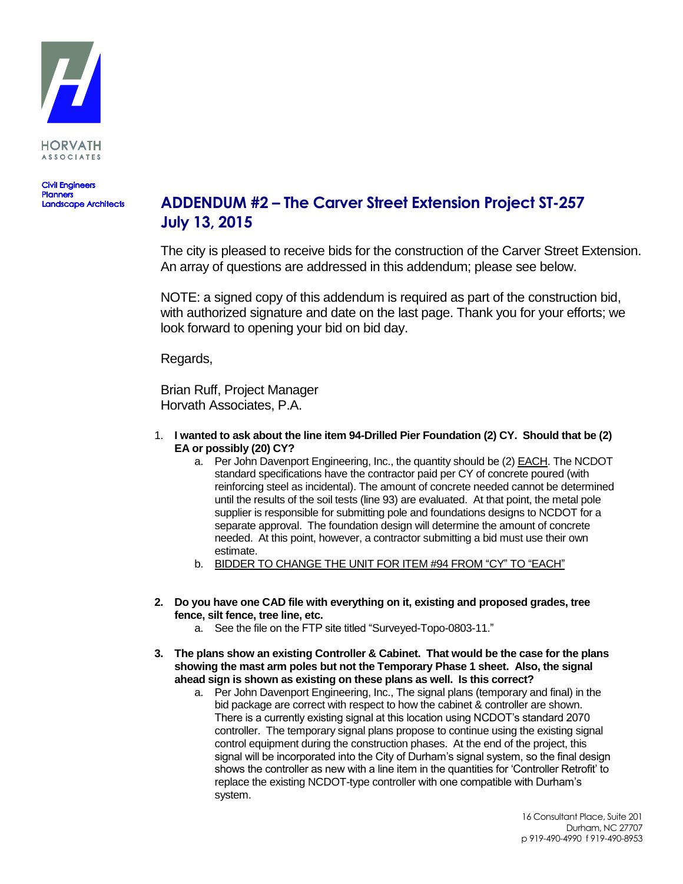

**Civil Engineers Planners**<br>Landscape Architects

# **ADDENDUM #2 – The Carver Street Extension Project ST-257 July 13, 2015**

The city is pleased to receive bids for the construction of the Carver Street Extension. An array of questions are addressed in this addendum; please see below.

NOTE: a signed copy of this addendum is required as part of the construction bid, with authorized signature and date on the last page. Thank you for your efforts; we look forward to opening your bid on bid day.

Regards,

Brian Ruff, Project Manager Horvath Associates, P.A.

- 1. **I wanted to ask about the line item 94-Drilled Pier Foundation (2) CY. Should that be (2) EA or possibly (20) CY?**
	- a. Per John Davenport Engineering, Inc., the quantity should be (2) EACH. The NCDOT standard specifications have the contractor paid per CY of concrete poured (with reinforcing steel as incidental). The amount of concrete needed cannot be determined until the results of the soil tests (line 93) are evaluated. At that point, the metal pole supplier is responsible for submitting pole and foundations designs to NCDOT for a separate approval. The foundation design will determine the amount of concrete needed. At this point, however, a contractor submitting a bid must use their own estimate.
	- b. BIDDER TO CHANGE THE UNIT FOR ITEM #94 FROM "CY" TO "EACH"
- **2. Do you have one CAD file with everything on it, existing and proposed grades, tree fence, silt fence, tree line, etc.** 
	- a. See the file on the FTP site titled "Surveyed-Topo-0803-11."
- **3. The plans show an existing Controller & Cabinet. That would be the case for the plans showing the mast arm poles but not the Temporary Phase 1 sheet. Also, the signal ahead sign is shown as existing on these plans as well. Is this correct?**
	- a. Per John Davenport Engineering, Inc., The signal plans (temporary and final) in the bid package are correct with respect to how the cabinet & controller are shown. There is a currently existing signal at this location using NCDOT's standard 2070 controller. The temporary signal plans propose to continue using the existing signal control equipment during the construction phases. At the end of the project, this signal will be incorporated into the City of Durham's signal system, so the final design shows the controller as new with a line item in the quantities for 'Controller Retrofit' to replace the existing NCDOT-type controller with one compatible with Durham's system.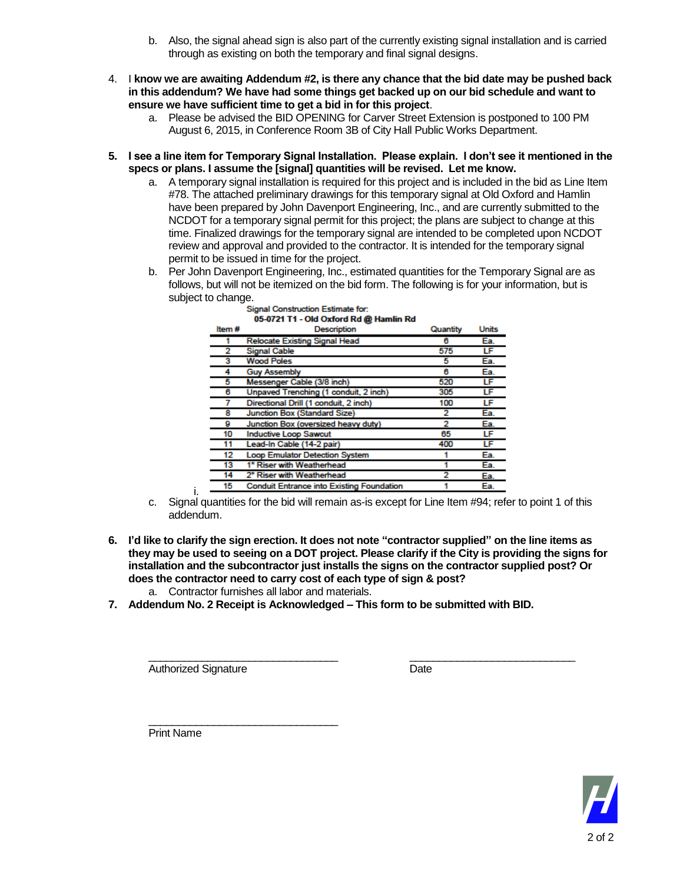- b. Also, the signal ahead sign is also part of the currently existing signal installation and is carried through as existing on both the temporary and final signal designs.
- 4. I **know we are awaiting Addendum #2, is there any chance that the bid date may be pushed back in this addendum? We have had some things get backed up on our bid schedule and want to ensure we have sufficient time to get a bid in for this project**.
	- a. Please be advised the BID OPENING for Carver Street Extension is postponed to 100 PM August 6, 2015, in Conference Room 3B of City Hall Public Works Department.
- **5. I see a line item for Temporary Signal Installation. Please explain. I don't see it mentioned in the specs or plans. I assume the [signal] quantities will be revised. Let me know.**
	- a. A temporary signal installation is required for this project and is included in the bid as Line Item #78. The attached preliminary drawings for this temporary signal at Old Oxford and Hamlin have been prepared by John Davenport Engineering, Inc., and are currently submitted to the NCDOT for a temporary signal permit for this project; the plans are subject to change at this time. Finalized drawings for the temporary signal are intended to be completed upon NCDOT review and approval and provided to the contractor. It is intended for the temporary signal permit to be issued in time for the project.
	- b. Per John Davenport Engineering, Inc., estimated quantities for the Temporary Signal are as follows, but will not be itemized on the bid form. The following is for your information, but is subject to change.

| Item# | $0.5 - 0.6 - 0.1 - 0.00$ . $0.001$ or $0.001$ and $0.001$ and $0.001$ |          | <b>Units</b> |
|-------|-----------------------------------------------------------------------|----------|--------------|
|       | <b>Description</b>                                                    | Quantity |              |
|       | <b>Relocate Existing Signal Head</b>                                  | 6        | Ea.          |
| 2     | <b>Signal Cable</b>                                                   | 575      | LF           |
| 3     | <b>Wood Poles</b>                                                     | 5        | Ea.          |
| 4     | <b>Guy Assembly</b>                                                   | 6        | Ea.          |
| 5     | Messenger Cable (3/8 inch)                                            | 520      | LF           |
| 6     | Unpaved Trenching (1 conduit, 2 inch)                                 | 305      | LF           |
|       | Directional Drill (1 conduit, 2 inch)                                 | 100      | LF           |
| 8     | Junction Box (Standard Size)                                          | 2        | Ea.          |
| 9     | Junction Box (oversized heavy duty)                                   | 2        | Ea.          |
| 10    | <b>Inductive Loop Sawcut</b>                                          | 65       | LF           |
| 11    | Lead-In Cable (14-2 pair)                                             | 400      | LF           |
| 12    | <b>Loop Emulator Detection System</b>                                 |          | Ea.          |
| 13    | 1" Riser with Weatherhead                                             |          | Ea.          |
| 14    | 2" Riser with Weatherhead                                             |          | Ea.          |
| 15    | <b>Conduit Entrance into Existing Foundation</b>                      |          | Ea.          |

### **Signal Construction Estimate for:** 05-0721 T1 - Old Oxford Rd @ Hamlin Rd

- i. c. Signal quantities for the bid will remain as-is except for Line Item #94; refer to point 1 of this addendum.
- **6. I'd like to clarify the sign erection. It does not note "contractor supplied" on the line items as they may be used to seeing on a DOT project. Please clarify if the City is providing the signs for installation and the subcontractor just installs the signs on the contractor supplied post? Or does the contractor need to carry cost of each type of sign & post?**

\_\_\_\_\_\_\_\_\_\_\_\_\_\_\_\_\_\_\_\_\_\_\_\_\_\_\_\_\_\_\_\_ \_\_\_\_\_\_\_\_\_\_\_\_\_\_\_\_\_\_\_\_\_\_\_\_\_\_\_\_

- a. Contractor furnishes all labor and materials.
- **7. Addendum No. 2 Receipt is Acknowledged – This form to be submitted with BID.**

Authorized Signature Date

\_\_\_\_\_\_\_\_\_\_\_\_\_\_\_\_\_\_\_\_\_\_\_\_\_\_\_\_\_\_\_\_ Print Name

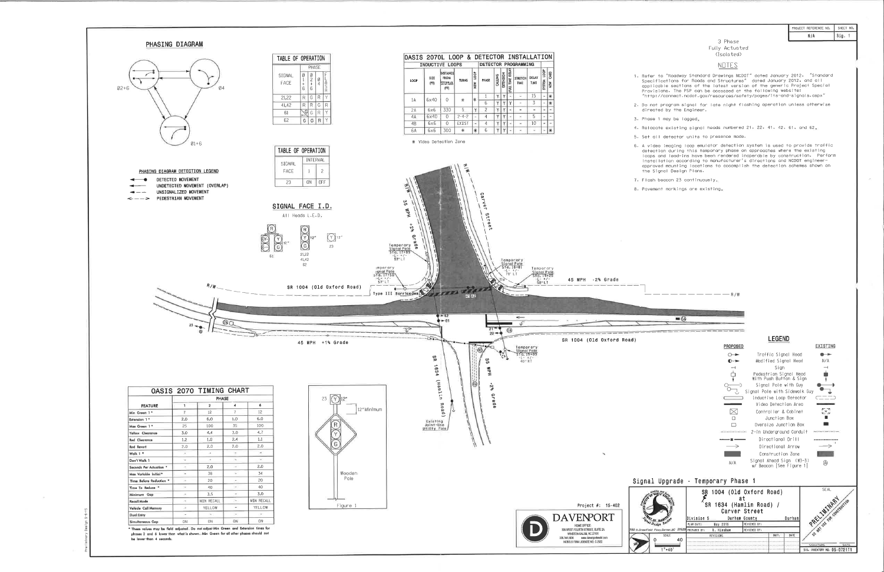

| PROJECT REFERENCE NO. | SHEET NO. |
|-----------------------|-----------|
| N/A                   | l Sig.    |

 $\sim$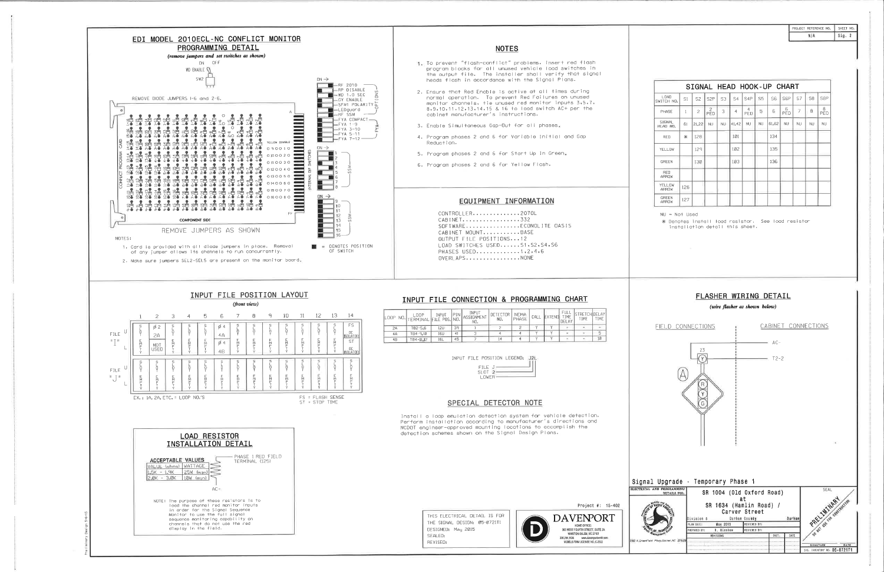

| PROJECT REFERENCE NO. | SHEET NO. |
|-----------------------|-----------|
| NIA                   | Sig. 2    |

| SIGNAL HEAD HOOK-UP CHART |     |                |           |           |                |                  |                |                |            |                |                |           |
|---------------------------|-----|----------------|-----------|-----------|----------------|------------------|----------------|----------------|------------|----------------|----------------|-----------|
| LOAD<br>SWITCH NO.        | S1  | S <sub>2</sub> | S2P       | S3        | S <sub>4</sub> | S <sub>4</sub> P | S <sub>5</sub> | S <sub>6</sub> | <b>S6P</b> | S7             | S <sub>8</sub> | S8P       |
| PHASE                     | 1   | $\overline{c}$ | PED       | 3         | $\overline{4}$ | 4<br>PED         | 5              | 6              | 6<br>PED   | $\overline{7}$ | 8              | 8<br>PED  |
| SIGNAL<br>HEAD NO.        | 61  | 21,22          | <b>NU</b> | <b>NU</b> | 41,42          | <b>NU</b>        | <b>NU</b>      | 61,62          | NU         | <b>NU</b>      | <b>NU</b>      | <b>NU</b> |
| <b>RED</b>                | $*$ | 128            |           |           | 101            |                  |                | 134            |            |                |                |           |
| YELLOW                    |     | 129            |           |           | 102            |                  |                | 135            |            |                |                |           |
| GREEN                     |     | 130            |           |           | 103            |                  |                | 136            |            |                |                |           |
| <b>RED</b><br>ARROW       |     |                |           |           |                |                  |                |                |            |                |                |           |
| YELLOW<br>ARROW           | 126 |                |           |           |                |                  |                |                |            |                |                |           |
| <b>GREEN</b><br>ARROW     | 127 |                |           |           |                |                  |                |                |            |                |                |           |

 $NII = Not Used$ 

\* Denotes install load resistor. See load resistor installation detail this sheet.

## FLASHER WIRING DETAIL

(wire flasher as shown below)

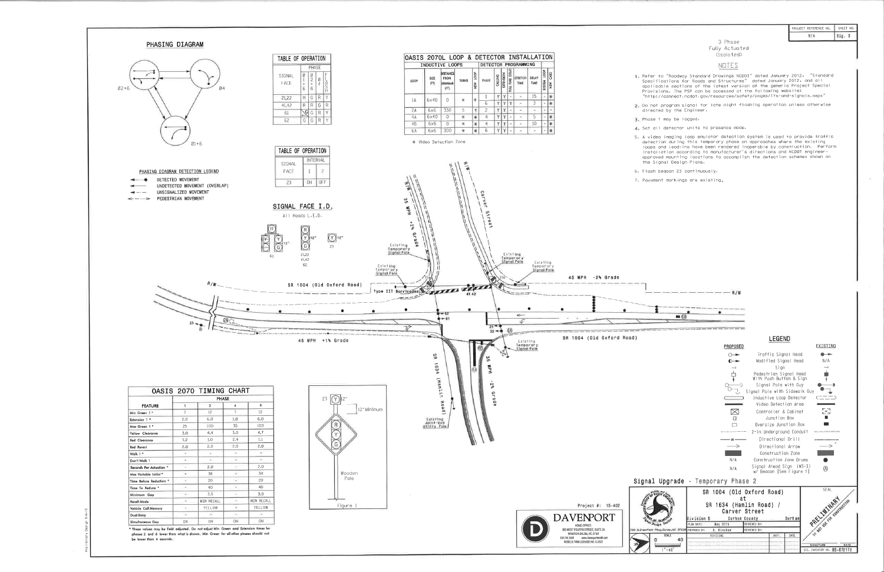

| PROJECT REFERENCE NO. | SHFFT NO.    |
|-----------------------|--------------|
| N/A                   | $\vert$ Sig. |

 $\sim$